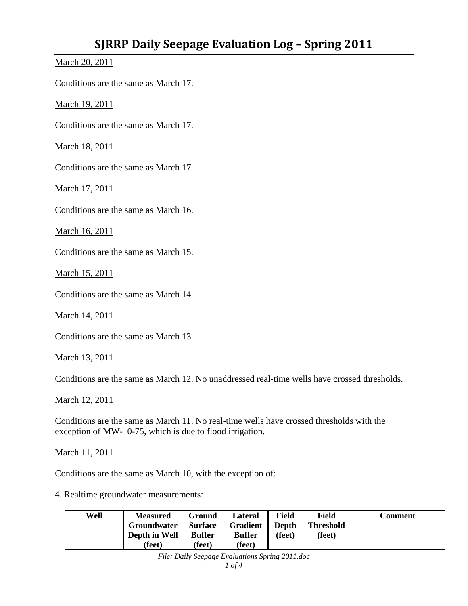March 20, 2011

Conditions are the same as March 17.

March 19, 2011

Conditions are the same as March 17.

March 18, 2011

Conditions are the same as March 17.

March 17, 2011

Conditions are the same as March 16.

March 16, 2011

Conditions are the same as March 15.

March 15, 2011

Conditions are the same as March 14.

March 14, 2011

Conditions are the same as March 13.

March 13, 2011

Conditions are the same as March 12. No unaddressed real-time wells have crossed thresholds.

March 12, 2011

Conditions are the same as March 11. No real-time wells have crossed thresholds with the exception of MW-10-75, which is due to flood irrigation.

March 11, 2011

Conditions are the same as March 10, with the exception of:

4. Realtime groundwater measurements:

| Well | <b>Measured</b><br>Groundwater | Ground<br><b>Surface</b> | Lateral<br><b>Gradient</b> | <b>Field</b><br>Depth | <b>Field</b><br><b>Threshold</b> | Comment |
|------|--------------------------------|--------------------------|----------------------------|-----------------------|----------------------------------|---------|
|      | Depth in Well<br>(feet)        | <b>Buffer</b><br>(feet)  | <b>Buffer</b><br>(feet)    | (feet)                | (feet)                           |         |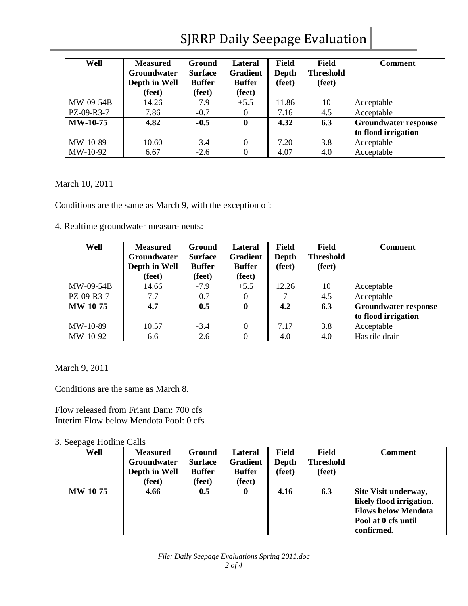# SJRRP Daily Seepage Evaluation

| Well            | <b>Measured</b><br><b>Groundwater</b><br>Depth in Well<br>(feet) | Ground<br><b>Surface</b><br><b>Buffer</b><br>(feet) | Lateral<br><b>Gradient</b><br><b>Buffer</b><br>(feet) | <b>Field</b><br>Depth<br>(feet) | <b>Field</b><br><b>Threshold</b><br>(feet) | <b>Comment</b>              |
|-----------------|------------------------------------------------------------------|-----------------------------------------------------|-------------------------------------------------------|---------------------------------|--------------------------------------------|-----------------------------|
| MW-09-54B       | 14.26                                                            | $-7.9$                                              | $+5.5$                                                | 11.86                           | 10                                         | Acceptable                  |
| PZ-09-R3-7      | 7.86                                                             | $-0.7$                                              | $\Omega$                                              | 7.16                            | 4.5                                        | Acceptable                  |
| <b>MW-10-75</b> | 4.82                                                             | $-0.5$                                              | $\bf{0}$                                              | 4.32                            | 6.3                                        | <b>Groundwater response</b> |
|                 |                                                                  |                                                     |                                                       |                                 |                                            | to flood irrigation         |
| MW-10-89        | 10.60                                                            | $-3.4$                                              | $\Omega$                                              | 7.20                            | 3.8                                        | Acceptable                  |
| MW-10-92        | 6.67                                                             | $-2.6$                                              | $\Omega$                                              | 4.07                            | 4.0                                        | Acceptable                  |

#### March 10, 2011

Conditions are the same as March 9, with the exception of:

4. Realtime groundwater measurements:

| Well            | <b>Measured</b><br><b>Groundwater</b><br>Depth in Well<br>(feet) | Ground<br><b>Surface</b><br><b>Buffer</b><br>(feet) | <b>Lateral</b><br><b>Gradient</b><br><b>Buffer</b><br>(feet) | Field<br>Depth<br>(feet) | Field<br><b>Threshold</b><br>(feet) | Comment                                            |
|-----------------|------------------------------------------------------------------|-----------------------------------------------------|--------------------------------------------------------------|--------------------------|-------------------------------------|----------------------------------------------------|
| MW-09-54B       | 14.66                                                            | $-7.9$                                              | $+5.5$                                                       | 12.26                    | 10                                  | Acceptable                                         |
| PZ-09-R3-7      | 7.7                                                              | $-0.7$                                              | 0                                                            |                          | 4.5                                 | Acceptable                                         |
| <b>MW-10-75</b> | 4.7                                                              | $-0.5$                                              | $\mathbf{0}$                                                 | 4.2                      | 6.3                                 | <b>Groundwater response</b><br>to flood irrigation |
| MW-10-89        | 10.57                                                            | $-3.4$                                              | $\Omega$                                                     | 7.17                     | 3.8                                 | Acceptable                                         |
| MW-10-92        | 6.6                                                              | $-2.6$                                              |                                                              | 4.0                      | 4.0                                 | Has tile drain                                     |

March 9, 2011

Conditions are the same as March 8.

Flow released from Friant Dam: 700 cfs Interim Flow below Mendota Pool: 0 cfs

#### 3. Seepage Hotline Calls

| Well            | <b>Measured</b>    | Ground         | Lateral         | Field  | Field            | <b>Comment</b>             |
|-----------------|--------------------|----------------|-----------------|--------|------------------|----------------------------|
|                 | <b>Groundwater</b> | <b>Surface</b> | <b>Gradient</b> | Depth  | <b>Threshold</b> |                            |
|                 | Depth in Well      | <b>Buffer</b>  | <b>Buffer</b>   | (feet) | (feet)           |                            |
|                 | (feet)             | (feet)         | (feet)          |        |                  |                            |
| <b>MW-10-75</b> | 4.66               | $-0.5$         | $\mathbf{0}$    | 4.16   | 6.3              | Site Visit underway,       |
|                 |                    |                |                 |        |                  | likely flood irrigation.   |
|                 |                    |                |                 |        |                  | <b>Flows below Mendota</b> |
|                 |                    |                |                 |        |                  | Pool at 0 cfs until        |
|                 |                    |                |                 |        |                  | confirmed.                 |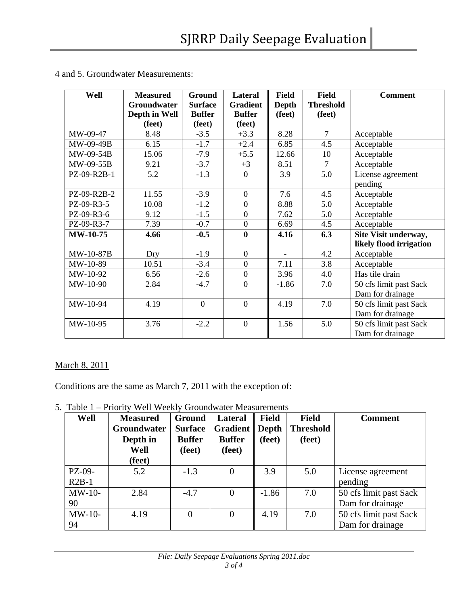| Well            | <b>Measured</b> | <b>Ground</b>  | Lateral          | <b>Field</b> | <b>Field</b>     | <b>Comment</b>          |
|-----------------|-----------------|----------------|------------------|--------------|------------------|-------------------------|
|                 | Groundwater     | <b>Surface</b> | <b>Gradient</b>  | <b>Depth</b> | <b>Threshold</b> |                         |
|                 | Depth in Well   | <b>Buffer</b>  | <b>Buffer</b>    | (feet)       | (feet)           |                         |
|                 | (feet)          | (feet)         | (feet)           |              |                  |                         |
| MW-09-47        | 8.48            | $-3.5$         | $+3.3$           | 8.28         | $\overline{7}$   | Acceptable              |
| MW-09-49B       | 6.15            | $-1.7$         | $+2.4$           | 6.85         | 4.5              | Acceptable              |
| MW-09-54B       | 15.06           | $-7.9$         | $+5.5$           | 12.66        | 10               | Acceptable              |
| MW-09-55B       | 9.21            | $-3.7$         | $+3$             | 8.51         | $\overline{7}$   | Acceptable              |
| PZ-09-R2B-1     | 5.2             | $-1.3$         | $\overline{0}$   | 3.9          | 5.0              | License agreement       |
|                 |                 |                |                  |              |                  | pending                 |
| PZ-09-R2B-2     | 11.55           | $-3.9$         | $\boldsymbol{0}$ | 7.6          | 4.5              | Acceptable              |
| PZ-09-R3-5      | 10.08           | $-1.2$         | $\boldsymbol{0}$ | 8.88         | 5.0              | Acceptable              |
| PZ-09-R3-6      | 9.12            | $-1.5$         | $\boldsymbol{0}$ | 7.62         | 5.0              | Acceptable              |
| PZ-09-R3-7      | 7.39            | $-0.7$         | $\boldsymbol{0}$ | 6.69         | 4.5              | Acceptable              |
| <b>MW-10-75</b> | 4.66            | $-0.5$         | $\boldsymbol{0}$ | 4.16         | 6.3              | Site Visit underway,    |
|                 |                 |                |                  |              |                  | likely flood irrigation |
| MW-10-87B       | Dry             | $-1.9$         | $\overline{0}$   | $\equiv$     | 4.2              | Acceptable              |
| MW-10-89        | 10.51           | $-3.4$         | $\overline{0}$   | 7.11         | 3.8              | Acceptable              |
| MW-10-92        | 6.56            | $-2.6$         | $\boldsymbol{0}$ | 3.96         | 4.0              | Has tile drain          |
| MW-10-90        | 2.84            | $-4.7$         | $\overline{0}$   | $-1.86$      | 7.0              | 50 cfs limit past Sack  |
|                 |                 |                |                  |              |                  | Dam for drainage        |
| MW-10-94        | 4.19            | $\overline{0}$ | $\overline{0}$   | 4.19         | 7.0              | 50 cfs limit past Sack  |
|                 |                 |                |                  |              |                  | Dam for drainage        |
| MW-10-95        | 3.76            | $-2.2$         | $\mathbf{0}$     | 1.56         | 5.0              | 50 cfs limit past Sack  |
|                 |                 |                |                  |              |                  | Dam for drainage        |

4 and 5. Groundwater Measurements:

### March 8, 2011

Conditions are the same as March 7, 2011 with the exception of:

5. Table 1 – Priority Well Weekly Groundwater Measurements

| Well     | <b>Measured</b><br><b>Groundwater</b><br>Depth in<br>Well<br>(feet) | Ground<br><b>Surface</b><br><b>Buffer</b><br>(feet) | Lateral<br><b>Gradient</b><br><b>Buffer</b><br>(feet) | <b>Field</b><br>Depth<br>(feet) | <b>Field</b><br><b>Threshold</b><br>(feet) | <b>Comment</b>         |
|----------|---------------------------------------------------------------------|-----------------------------------------------------|-------------------------------------------------------|---------------------------------|--------------------------------------------|------------------------|
| PZ-09-   | 5.2                                                                 | $-1.3$                                              |                                                       | 3.9                             | 5.0                                        | License agreement      |
| $R2B-1$  |                                                                     |                                                     |                                                       |                                 |                                            | pending                |
| $MW-10-$ | 2.84                                                                | $-4.7$                                              |                                                       | $-1.86$                         | 7.0                                        | 50 cfs limit past Sack |
| 90       |                                                                     |                                                     |                                                       |                                 |                                            | Dam for drainage       |
| $MW-10-$ | 4.19                                                                | $\overline{0}$                                      |                                                       | 4.19                            | 7.0                                        | 50 cfs limit past Sack |
| 94       |                                                                     |                                                     |                                                       |                                 |                                            | Dam for drainage       |